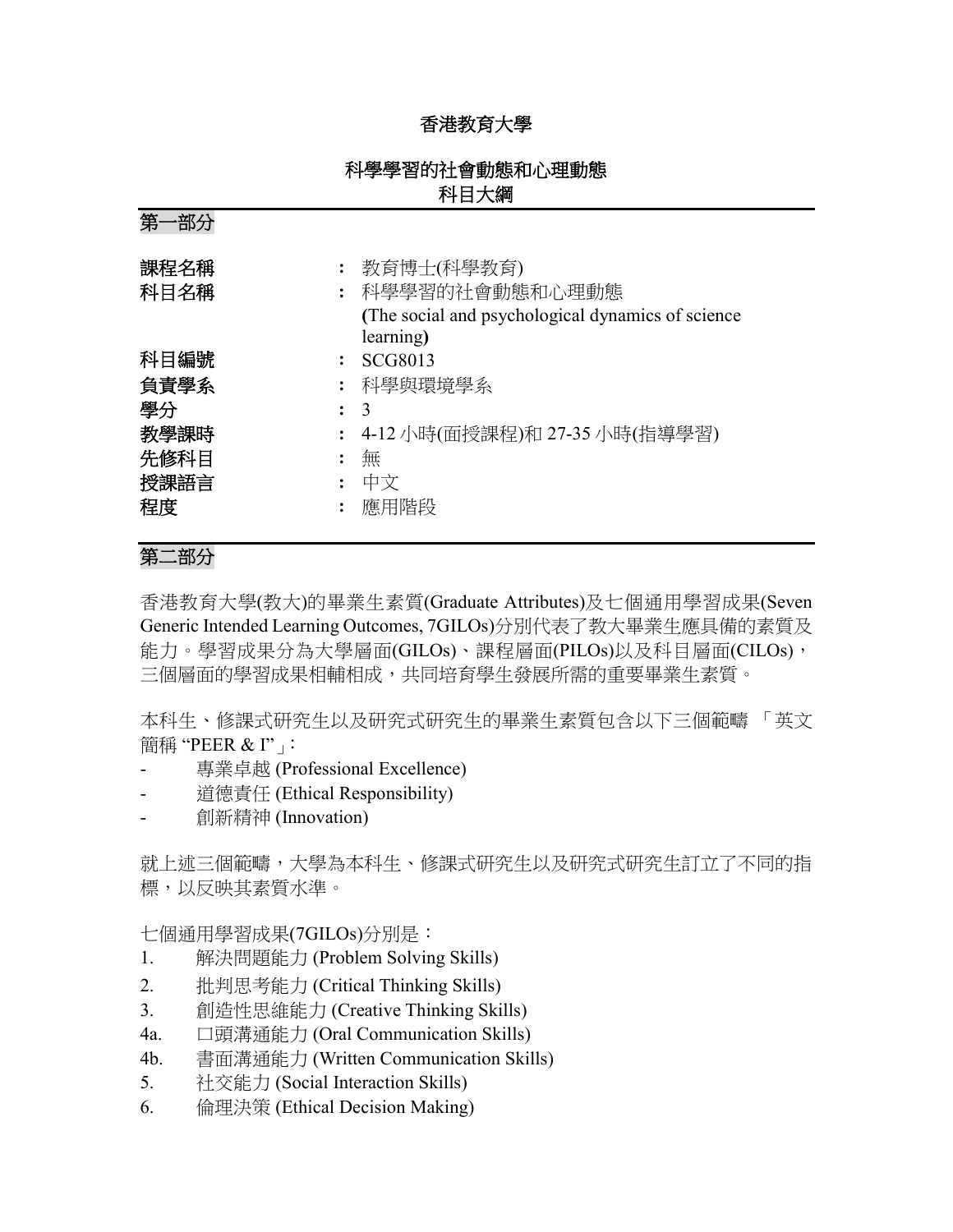## 香港教育大學

## 科學學習的社會動態和心理動態 科目大綱

第一部分

| 課程名稱<br>科目名稱                                     | 教育博士(科學教育)<br>科學學習的社會動態和心理動態<br>(The social and psychological dynamics of science)<br>learning) |
|--------------------------------------------------|-------------------------------------------------------------------------------------------------|
| 科目編號<br>負責學系<br>學分<br>教學課時<br>先修科目<br>授課語言<br>程度 | SCG8013<br>科學與環境學系<br>$\mathcal{R}$<br>4-12 小時(面授課程)和 27-35 小時(指導學習)<br>無<br>中文<br>應用階段         |

# 第二部分

香港教育大學(教大)的畢業生素質(Graduate Attributes)及七個通用學習成果(Seven Generic Intended Learning Outcomes, 7GILOs)分別代表了教大畢業生應具備的素質及 能力。學習成果分為大學層面(GILOs)、課程層面(PILOs)以及科目層面(CILOs), 三個層面的學習成果相輔相成,共同培育學生發展所需的重要畢業生素質。

本科生、修課式研究生以及研究式研究生的畢業生素質包含以下三個範疇 「英文 簡稱 "PEER & I"」:

- 專業卓越 (Professional Excellence)
- 道德責任 (Ethical Responsibility)
- 創新精神 (Innovation)

就上述三個範疇,大學為本科生、修課式研究生以及研究式研究生訂立了不同的指 標,以反映其素質水準。

七個通用學習成果(7GILOs)分別是:

- 1. 解決問題能力 (Problem Solving Skills)
- 2. 批判思考能力 (Critical Thinking Skills)
- 3. 創造性思維能力 (Creative Thinking Skills)
- 4a. 口頭溝通能力 (Oral Communication Skills)
- 4b. 書面溝通能力 (Written Communication Skills)
- 5. 社交能力 (Social Interaction Skills)
- 6. 倫理決策 (Ethical Decision Making)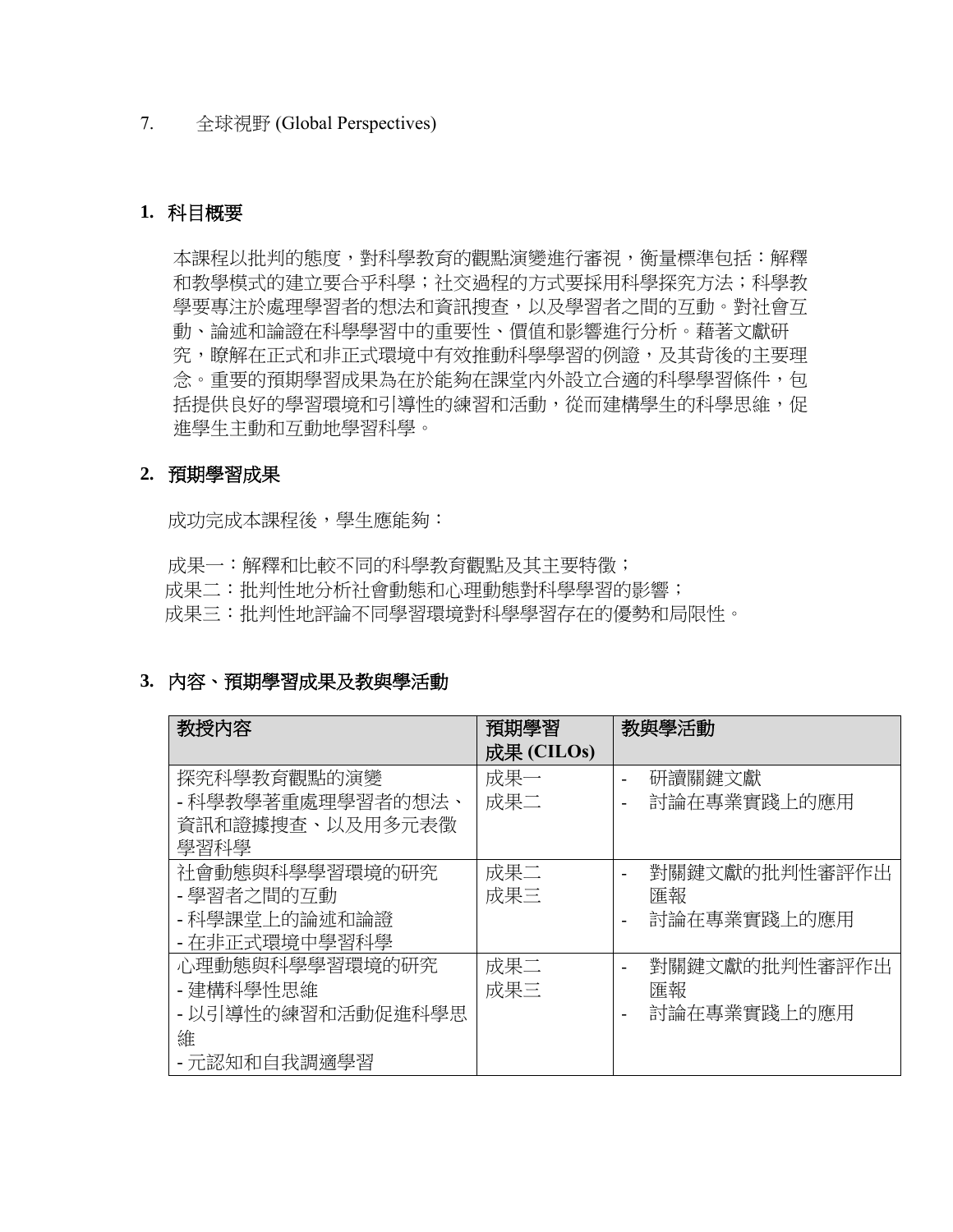#### 7. 全球視野 (Global Perspectives)

### **1.** 科目概要

本課程以批判的態度,對科學教育的觀點演變進行審視,衡量標準包括:解釋 和教學模式的建立要合乎科學;社交過程的方式要採用科學探究方法;科學教 學要專注於處理學習者的想法和資訊搜查,以及學習者之間的互動。對社會互 動、論述和論證在科學學習中的重要性、價值和影響進行分析。藉著文獻研 究,瞭解在正式和非正式環境中有效推動科學學習的例證,及其背後的主要理 念。重要的預期學習成果為在於能夠在課堂內外設立合適的科學學習條件,包 括提供良好的學習環境和引導性的練習和活動,從而建構學生的科學思維,促 進學生主動和互動地學習科學。

### **2.** 預期學習成果

成功完成本課程後,學生應能夠:

成果一:解釋和比較不同的科學教育觀點及其主要特徵; 成果二:批判性地分析社會動態和心理動態對科學學習的影響; 成果三:批判性地評論不同學習環境對科學學習存在的優勢和局限性。

### **3.** 內容、預期學習成果及教與學活動

| 教授内容              | 預期學習       | 教與學活動                                     |
|-------------------|------------|-------------------------------------------|
|                   | 成果 (CILOs) |                                           |
| 探究科學教育觀點的演變       | 成果一        | 研讀關鍵文獻<br>$\blacksquare$                  |
| - 科學教學著重處理學習者的想法、 | 成果二        | 討論在專業實踐上的應用<br>$\overline{\phantom{a}}$   |
| 資訊和證據搜查、以及用多元表徵   |            |                                           |
| 學習科學              |            |                                           |
| 社會動態與科學學習環境的研究    | 成果二        | 對關鍵文獻的批判性審評作出                             |
| - 學習者之間的互動        | 成果三        | 匯報                                        |
| - 科學課堂上的論述和論證     |            | 討論在專業實踐上的應用<br>$\overline{\phantom{a}}$   |
| - 在非正式環境中學習科學     |            |                                           |
| 心理動熊與科學學習環境的研究    | 成果二        | 對關鍵文獻的批判性審評作出<br>$\overline{\phantom{a}}$ |
| - 建構科學性思維         | 成果三        | 匯報                                        |
| - 以引導性的練習和活動促進科學思 |            | 討論在專業實踐上的應用<br>$\overline{\phantom{a}}$   |
| 維                 |            |                                           |
| - 元認知和自我調適學習      |            |                                           |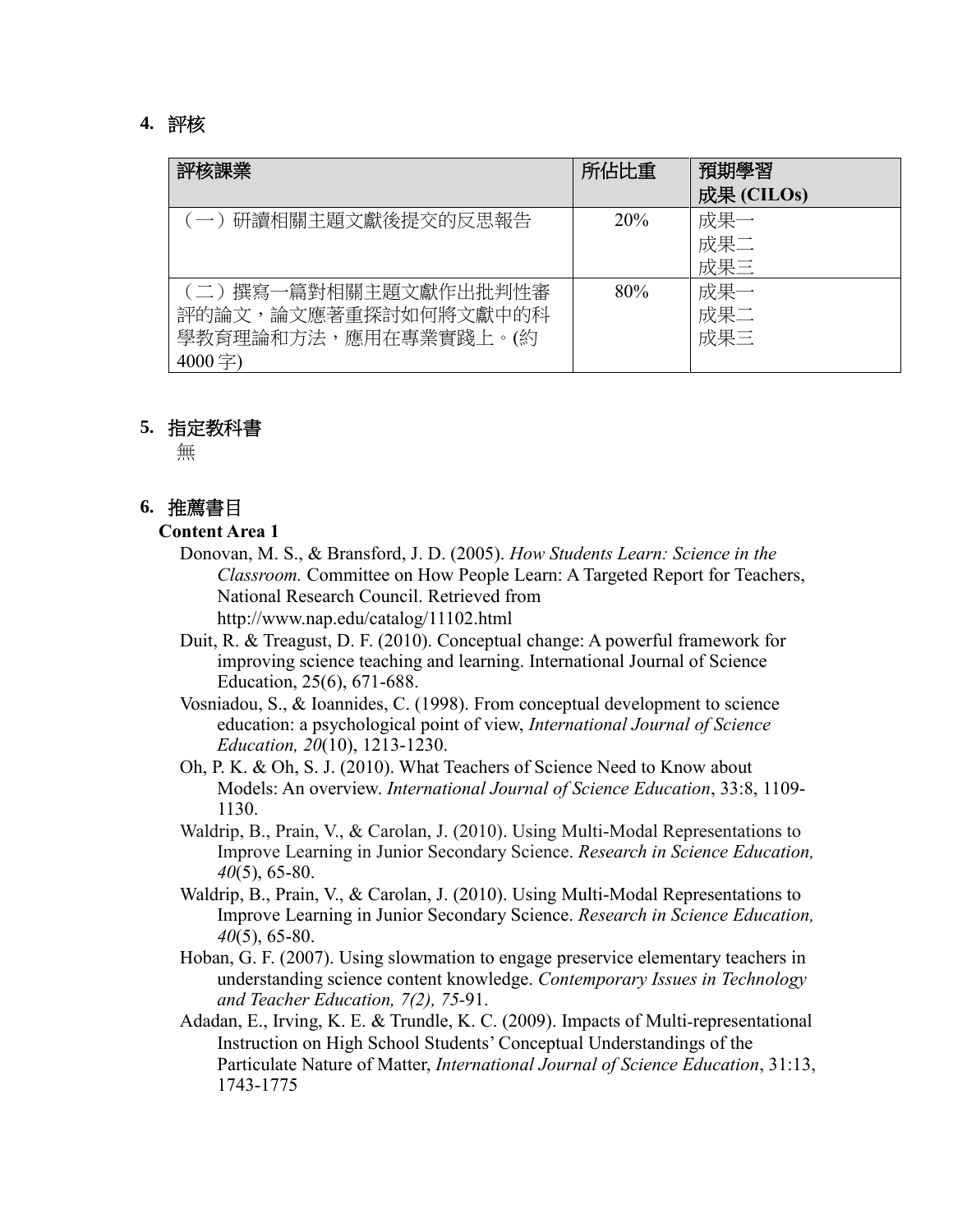#### **4.** 評核

| 評核課業                                                                            | 所佔比重 | 預期學習<br>成果 (CILOs) |
|---------------------------------------------------------------------------------|------|--------------------|
| 研讀相關主題文獻後提交的反思報告<br>$(-)$                                                       | 20%  | 成果一<br>成果二<br>成果三  |
| (二) 撰寫一篇對相關主題文獻作出批判性審<br>評的論文,論文應著重探討如何將文獻中的科<br>學教育理論和方法,應用在專業實踐上。(約<br>4000字) | 80%  | 成果一<br>成果二<br>成果三  |

#### **5.** 指定教科書

無

#### **6.** 推薦書目

#### **Content Area 1**

- Donovan, M. S., & Bransford, J. D. (2005). *How Students Learn: Science in the Classroom.* Committee on How People Learn: A Targeted Report for Teachers, National Research Council. Retrieved from http://www.nap.edu/catalog/11102.html
- Duit, R. & Treagust, D. F. (2010). Conceptual change: A powerful framework for improving science teaching and learning. International Journal of Science Education, 25(6), 671-688.
- Vosniadou, S., & Ioannides, C. (1998). From conceptual development to science education: a psychological point of view, *International Journal of Science Education, 20*(10), 1213-1230.
- Oh, P. K. & Oh, S. J. (2010). What Teachers of Science Need to Know about Models: An overview. *International Journal of Science Education*, 33:8, 1109- 1130.
- Waldrip, B., Prain, V., & Carolan, J. (2010). Using Multi-Modal Representations to Improve Learning in Junior Secondary Science. *Research in Science Education, 40*(5), 65-80.
- Waldrip, B., Prain, V., & Carolan, J. (2010). Using Multi-Modal Representations to Improve Learning in Junior Secondary Science. *Research in Science Education, 40*(5), 65-80.
- Hoban, G. F. (2007). Using slowmation to engage preservice elementary teachers in understanding science content knowledge. *Contemporary Issues in Technology and Teacher Education, 7(2), 75-*91.
- Adadan, E., Irving, K. E. & Trundle, K. C. (2009). Impacts of Multi-representational Instruction on High School Students' Conceptual Understandings of the Particulate Nature of Matter, *International Journal of Science Education*, 31:13, 1743-1775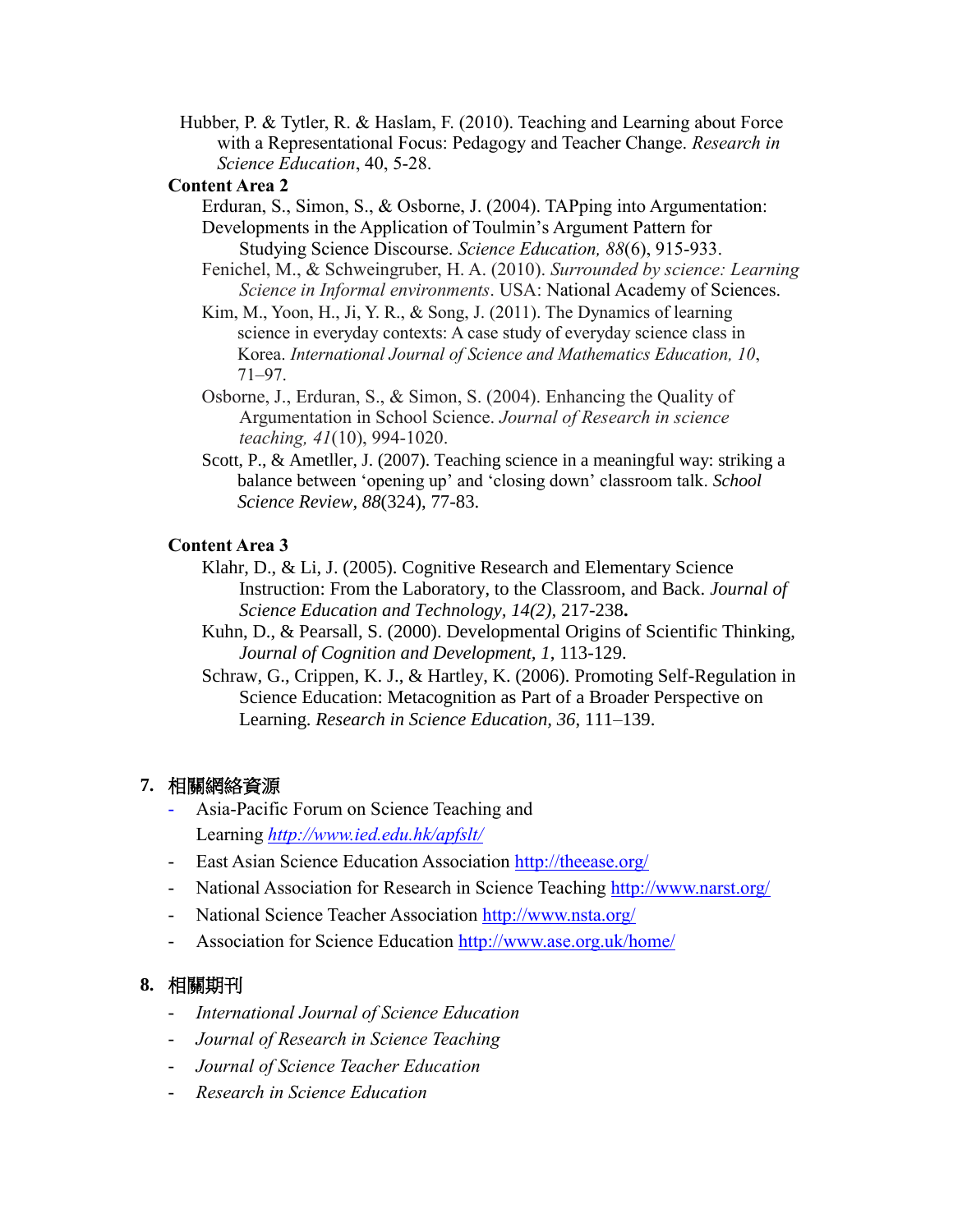Hubber, P. & Tytler, R. & Haslam, F. (2010). Teaching and Learning about Force with a Representational Focus: Pedagogy and Teacher Change. *Research in Science Education*, 40, 5-28.

#### **Content Area 2**

Erduran, S., Simon, S., & Osborne, J. (2004). TAPping into Argumentation: Developments in the Application of Toulmin's Argument Pattern for Studying Science Discourse. *Science Education, 88*(6), 915-933.

- Fenichel, M., & Schweingruber, H. A. (2010). *Surrounded by science: Learning Science in Informal environments*. USA: National Academy of Sciences.
- Kim, M., Yoon, H., Ji, Y. R., & Song, J. (2011). The Dynamics of learning science in everyday contexts: A case study of everyday science class in Korea. *International Journal of Science and Mathematics Education, 10*, 71–97.
- Osborne, J., Erduran, S., & Simon, S. (2004). Enhancing the Quality of Argumentation in School Science. *Journal of Research in science teaching, 41*(10), 994-1020.
- Scott, P., & Ametller, J. (2007). Teaching science in a meaningful way: striking a balance between 'opening up' and 'closing down' classroom talk. *School Science Review, 88*(324), 77-83.

#### **Content Area 3**

- Klahr, D., & Li, J. (2005). Cognitive Research and Elementary Science Instruction: From the Laboratory, to the Classroom, and Back. *Journal of Science Education and Technology, 14(2),* 217-238**.**
- Kuhn, D., & Pearsall, S. (2000). Developmental Origins of Scientific Thinking, *Journal of Cognition and Development, 1*, 113-129.
- Schraw, G., Crippen, K. J., & Hartley, K. (2006). Promoting Self-Regulation in Science Education: Metacognition as Part of a Broader Perspective on Learning. *Research in Science Education, 36*, 111–139.

### **7.** 相關網絡資源

- Asia-Pacific Forum on Science Teaching and Learning *<http://www.ied.edu.hk/apfslt/>*
- East Asian Science Education Association<http://theease.org/>
- National Association for Research in Science Teaching<http://www.narst.org/>
- National Science Teacher Association<http://www.nsta.org/>
- Association for Science Education<http://www.ase.org.uk/home/>

### **8.** 相關期刊

- *International Journal of Science Education*
- *Journal of Research in Science Teaching*
- *Journal of Science Teacher Education*
- *Research in Science Education*